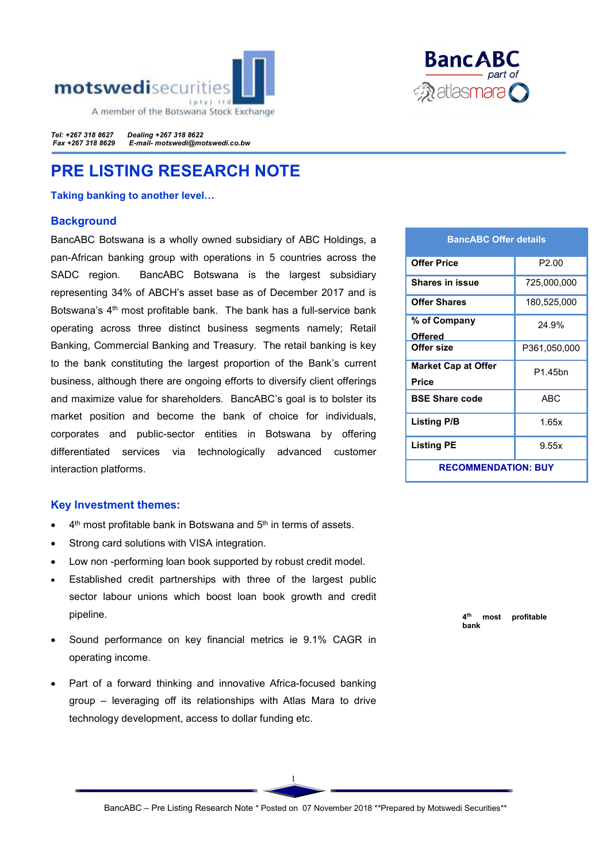



*Tel: +267 318 8627 Dealing +267 318 8622 Fax +267 318 8629 E-mail- motswedi@motswedi.co.bw* 

# PRE LISTING RESEARCH NOTE

Taking banking to another level…

# **Background**

BancABC Botswana is a wholly owned subsidiary of ABC Holdings, a pan-African banking group with operations in 5 countries across the SADC region. BancABC Botswana is the largest subsidiary representing 34% of ABCH's asset base as of December 2017 and is Botswana's 4<sup>th</sup> most profitable bank. The bank has a full-service bank operating across three distinct business segments namely; Retail Banking, Commercial Banking and Treasury. The retail banking is key to the bank constituting the largest proportion of the Bank's current business, although there are ongoing efforts to diversify client offerings and maximize value for shareholders. BancABC's goal is to bolster its market position and become the bank of choice for individuals, corporates and public-sector entities in Botswana by offering differentiated services via technologically advanced customer interaction platforms.

# Key Investment themes:

- 4<sup>th</sup> most profitable bank in Botswana and 5<sup>th</sup> in terms of assets.
- Strong card solutions with VISA integration.
- Low non -performing loan book supported by robust credit model.
- Established credit partnerships with three of the largest public sector labour unions which boost loan book growth and credit pipeline.
- Sound performance on key financial metrics ie 9.1% CAGR in operating income.
- Part of a forward thinking and innovative Africa-focused banking group – leveraging off its relationships with Atlas Mara to drive technology development, access to dollar funding etc.

| <b>BancABC Offer details</b>        |                   |  |  |  |
|-------------------------------------|-------------------|--|--|--|
| <b>Offer Price</b>                  | P <sub>2.00</sub> |  |  |  |
| <b>Shares in issue</b>              | 725,000,000       |  |  |  |
| <b>Offer Shares</b>                 | 180,525,000       |  |  |  |
| % of Company<br>Offered             | 24.9%             |  |  |  |
| Offer size                          | P361,050,000      |  |  |  |
| <b>Market Cap at Offer</b><br>Price | P1.45bn           |  |  |  |
| <b>BSE Share code</b>               | ABC               |  |  |  |
| <b>Listing P/B</b>                  | 1.65x             |  |  |  |
| <b>Listing PE</b>                   | 9.55x             |  |  |  |
| <b>RECOMMENDATION: BUY</b>          |                   |  |  |  |

4<sup>th</sup> most profitable bank

1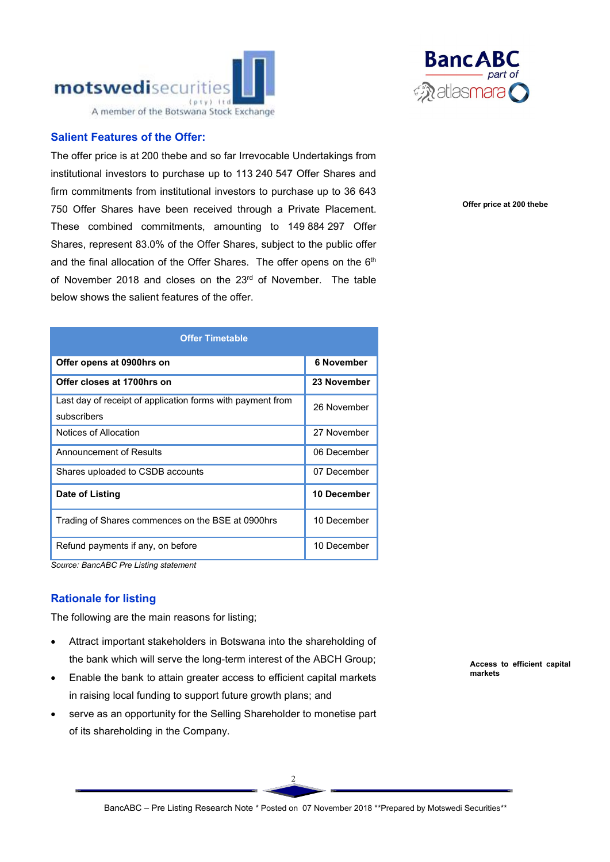



The offer price is at 200 thebe and so far Irrevocable Undertakings from institutional investors to purchase up to 113 240 547 Offer Shares and firm commitments from institutional investors to purchase up to 36 643 750 Offer Shares have been received through a Private Placement. These combined commitments, amounting to 149 884 297 Offer Shares, represent 83.0% of the Offer Shares, subject to the public offer and the final allocation of the Offer Shares. The offer opens on the 6th of November 2018 and closes on the 23rd of November. The table below shows the salient features of the offer.

| <b>Offer Timetable</b>                                                    |                   |  |  |  |
|---------------------------------------------------------------------------|-------------------|--|--|--|
| Offer opens at 0900hrs on                                                 | <b>6 November</b> |  |  |  |
| Offer closes at 1700hrs on                                                | 23 November       |  |  |  |
| Last day of receipt of application forms with payment from<br>subscribers | 26 November       |  |  |  |
| Notices of Allocation                                                     | 27 November       |  |  |  |
| Announcement of Results                                                   | 06 December       |  |  |  |
| Shares uploaded to CSDB accounts                                          | 07 December       |  |  |  |
| Date of Listing                                                           | 10 December       |  |  |  |
| Trading of Shares commences on the BSE at 0900hrs                         | 10 December       |  |  |  |
| Refund payments if any, on before<br>.                                    | 10 December       |  |  |  |

*Source: BancABC Pre Listing statement*

# Rationale for listing

The following are the main reasons for listing;

- Attract important stakeholders in Botswana into the shareholding of the bank which will serve the long-term interest of the ABCH Group;
- Enable the bank to attain greater access to efficient capital markets in raising local funding to support future growth plans; and
- serve as an opportunity for the Selling Shareholder to monetise part of its shareholding in the Company.



Offer price at 200 thebe

Access to efficient capital markets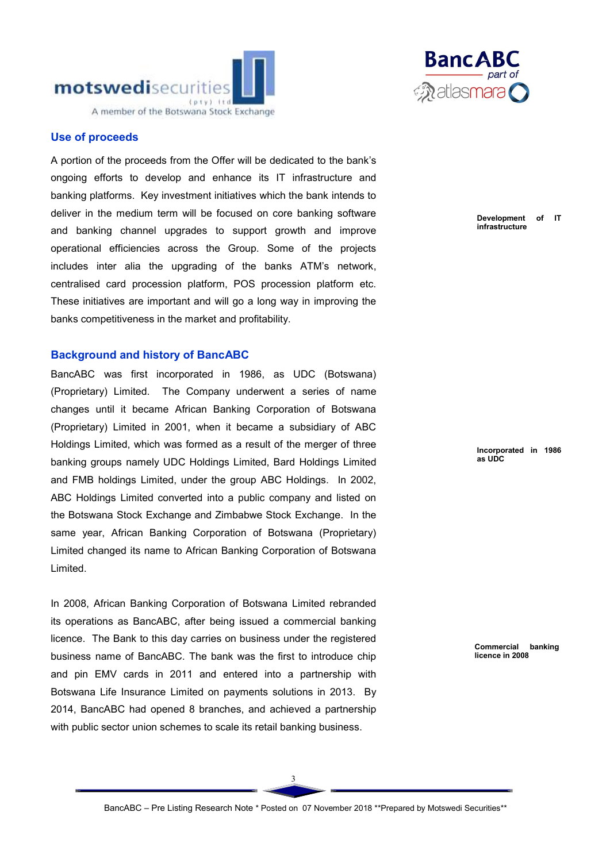

# Use of proceeds

A portion of the proceeds from the Offer will be dedicated to the bank's ongoing efforts to develop and enhance its IT infrastructure and banking platforms. Key investment initiatives which the bank intends to deliver in the medium term will be focused on core banking software and banking channel upgrades to support growth and improve operational efficiencies across the Group. Some of the projects includes inter alia the upgrading of the banks ATM's network, centralised card procession platform, POS procession platform etc. These initiatives are important and will go a long way in improving the banks competitiveness in the market and profitability.

#### Background and history of BancABC

BancABC was first incorporated in 1986, as UDC (Botswana) (Proprietary) Limited. The Company underwent a series of name changes until it became African Banking Corporation of Botswana (Proprietary) Limited in 2001, when it became a subsidiary of ABC Holdings Limited, which was formed as a result of the merger of three banking groups namely UDC Holdings Limited, Bard Holdings Limited and FMB holdings Limited, under the group ABC Holdings. In 2002, ABC Holdings Limited converted into a public company and listed on the Botswana Stock Exchange and Zimbabwe Stock Exchange. In the same year, African Banking Corporation of Botswana (Proprietary) Limited changed its name to African Banking Corporation of Botswana Limited.

In 2008, African Banking Corporation of Botswana Limited rebranded its operations as BancABC, after being issued a commercial banking licence. The Bank to this day carries on business under the registered business name of BancABC. The bank was the first to introduce chip and pin EMV cards in 2011 and entered into a partnership with Botswana Life Insurance Limited on payments solutions in 2013. By 2014, BancABC had opened 8 branches, and achieved a partnership with public sector union schemes to scale its retail banking business.



Development of IT infrastructure

Incorporated in 1986 as UDC

Commercial banking licence in 2008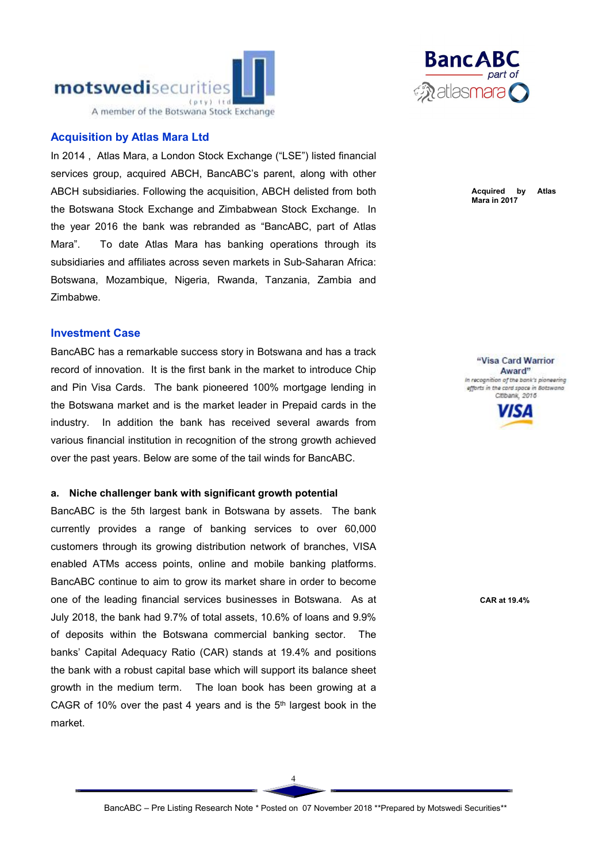

# Acquisition by Atlas Mara Ltd

In 2014 , Atlas Mara, a London Stock Exchange ("LSE") listed financial services group, acquired ABCH, BancABC's parent, along with other ABCH subsidiaries. Following the acquisition, ABCH delisted from both the Botswana Stock Exchange and Zimbabwean Stock Exchange. In the year 2016 the bank was rebranded as "BancABC, part of Atlas Mara". To date Atlas Mara has banking operations through its subsidiaries and affiliates across seven markets in Sub-Saharan Africa: Botswana, Mozambique, Nigeria, Rwanda, Tanzania, Zambia and Zimbabwe.

# Investment Case

BancABC has a remarkable success story in Botswana and has a track record of innovation. It is the first bank in the market to introduce Chip and Pin Visa Cards. The bank pioneered 100% mortgage lending in the Botswana market and is the market leader in Prepaid cards in the industry. In addition the bank has received several awards from various financial institution in recognition of the strong growth achieved over the past years. Below are some of the tail winds for BancABC.

#### a. Niche challenger bank with significant growth potential

BancABC is the 5th largest bank in Botswana by assets. The bank currently provides a range of banking services to over 60,000 customers through its growing distribution network of branches, VISA enabled ATMs access points, online and mobile banking platforms. BancABC continue to aim to grow its market share in order to become one of the leading financial services businesses in Botswana. As at July 2018, the bank had 9.7% of total assets, 10.6% of loans and 9.9% of deposits within the Botswana commercial banking sector. The banks' Capital Adequacy Ratio (CAR) stands at 19.4% and positions the bank with a robust capital base which will support its balance sheet growth in the medium term. The loan book has been growing at a CAGR of 10% over the past 4 years and is the  $5<sup>th</sup>$  largest book in the market.



Acquired by Atlas Mara in 2017

"Visa Card Warrior Award" In recognition of the bank's pioneering efforts in the cord space in Botswand Citibank, 2016



CAR at 19.4%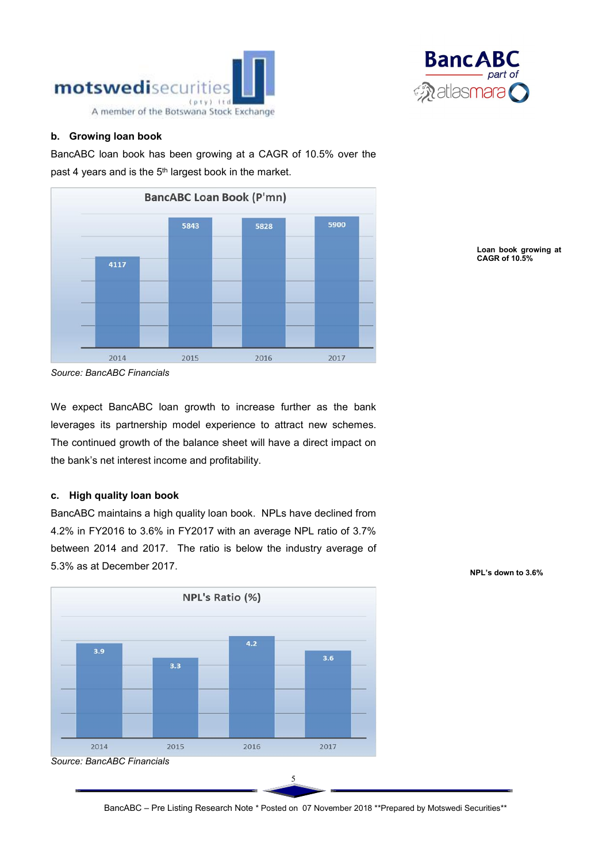



## b. Growing loan book

BancABC loan book has been growing at a CAGR of 10.5% over the past 4 years and is the 5<sup>th</sup> largest book in the market.



*Source: BancABC Financials*

We expect BancABC loan growth to increase further as the bank leverages its partnership model experience to attract new schemes. The continued growth of the balance sheet will have a direct impact on the bank's net interest income and profitability.

#### c. High quality loan book

BancABC maintains a high quality loan book. NPLs have declined from 4.2% in FY2016 to 3.6% in FY2017 with an average NPL ratio of 3.7% between 2014 and 2017. The ratio is below the industry average of 5.3% as at December 2017.



Loan book growing at CAGR of 10.5%

NPL's down to 3.6%

BancABC – Pre Listing Research Note \* Posted on 07 November 2018 \*\*Prepared by Motswedi Securities\*\*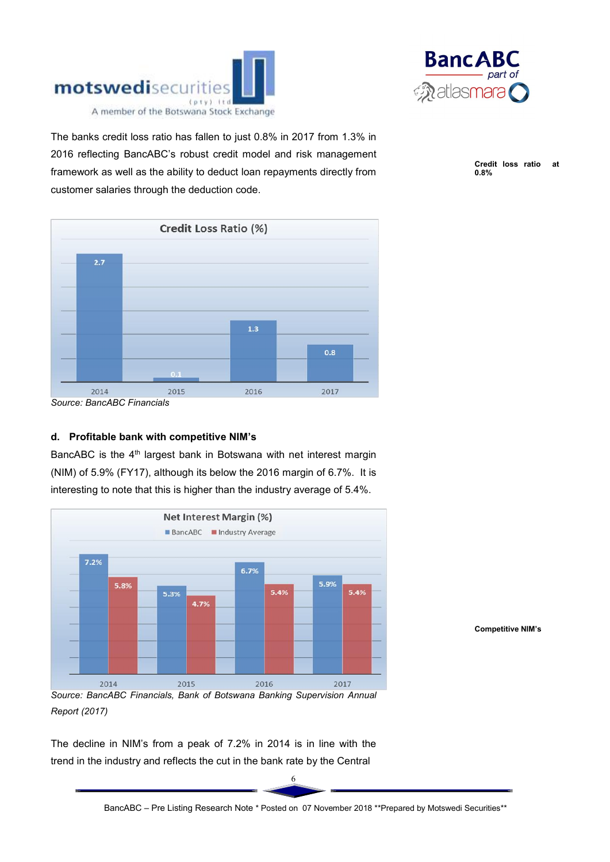



The banks credit loss ratio has fallen to just 0.8% in 2017 from 1.3% in 2016 reflecting BancABC's robust credit model and risk management framework as well as the ability to deduct loan repayments directly from customer salaries through the deduction code.

Credit loss ratio at 0.8%



*Source: BancABC Financials*

# d. Profitable bank with competitive NIM's

BancABC is the 4<sup>th</sup> largest bank in Botswana with net interest margin (NIM) of 5.9% (FY17), although its below the 2016 margin of 6.7%. It is interesting to note that this is higher than the industry average of 5.4%.



Competitive NIM's

The decline in NIM's from a peak of 7.2% in 2014 is in line with the trend in the industry and reflects the cut in the bank rate by the Central

6

*Report (2017)*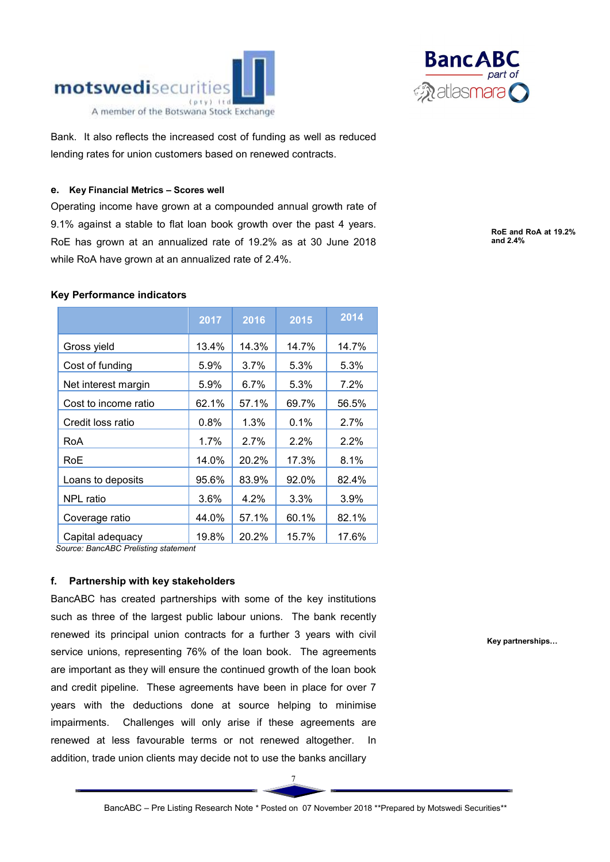



Bank. It also reflects the increased cost of funding as well as reduced lending rates for union customers based on renewed contracts.

#### e. Key Financial Metrics – Scores well

Operating income have grown at a compounded annual growth rate of 9.1% against a stable to flat loan book growth over the past 4 years. RoE has grown at an annualized rate of 19.2% as at 30 June 2018 while RoA have grown at an annualized rate of 2.4%.

#### RoE and RoA at 19.2% and 2.4%

# Key Performance indicators

|                      | 2017    | 2016    | 2015    | 2014    |
|----------------------|---------|---------|---------|---------|
| Gross yield          | 13.4%   | 14.3%   | 14.7%   | 14.7%   |
| Cost of funding      | 5.9%    | $3.7\%$ | 5.3%    | 5.3%    |
| Net interest margin  | 5.9%    | 6.7%    | 5.3%    | $7.2\%$ |
| Cost to income ratio | 62.1%   | 57.1%   | 69.7%   | 56.5%   |
| Credit loss ratio    | $0.8\%$ | $1.3\%$ | 0.1%    | 2.7%    |
| RoA                  | $1.7\%$ | $2.7\%$ | $2.2\%$ | $2.2\%$ |
| RoE                  | 14.0%   | 20.2%   | 17.3%   | 8.1%    |
| Loans to deposits    | 95.6%   | 83.9%   | 92.0%   | 82.4%   |
| <b>NPL</b> ratio     | 3.6%    | 4.2%    | 3.3%    | 3.9%    |
| Coverage ratio       | 44.0%   | 57.1%   | 60.1%   | 82.1%   |
| Capital adequacy     | 19.8%   | 20.2%   | 15.7%   | 17.6%   |

 *Source: BancABC Prelisting statement*

# f. Partnership with key stakeholders

BancABC has created partnerships with some of the key institutions such as three of the largest public labour unions. The bank recently renewed its principal union contracts for a further 3 years with civil service unions, representing 76% of the loan book. The agreements are important as they will ensure the continued growth of the loan book and credit pipeline. These agreements have been in place for over 7 years with the deductions done at source helping to minimise impairments. Challenges will only arise if these agreements are renewed at less favourable terms or not renewed altogether. In addition, trade union clients may decide not to use the banks ancillary

Key partnerships…

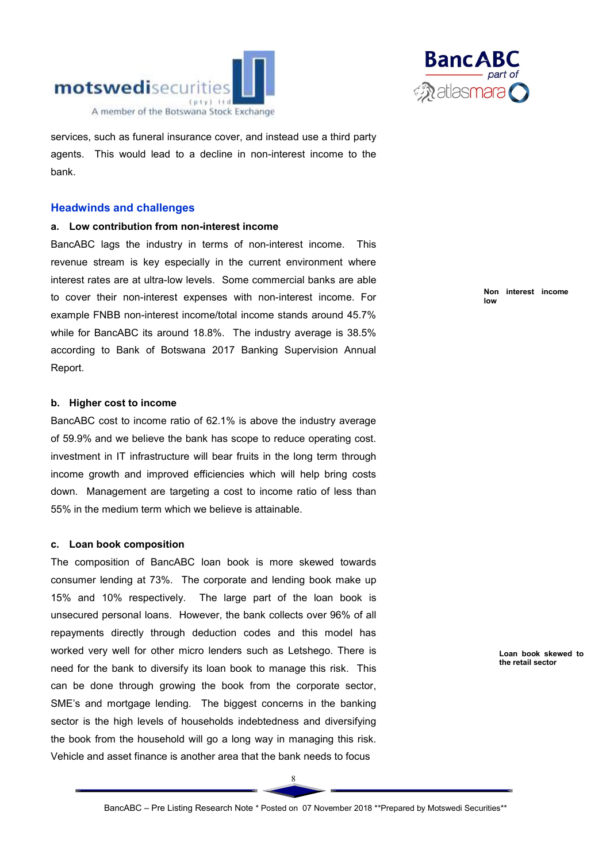



services, such as funeral insurance cover, and instead use a third party agents. This would lead to a decline in non-interest income to the bank.

# Headwinds and challenges

#### a. Low contribution from non-interest income

BancABC lags the industry in terms of non-interest income. This revenue stream is key especially in the current environment where interest rates are at ultra-low levels. Some commercial banks are able to cover their non-interest expenses with non-interest income. For example FNBB non-interest income/total income stands around 45.7% while for BancABC its around 18.8%. The industry average is 38.5% according to Bank of Botswana 2017 Banking Supervision Annual Report.

#### b. Higher cost to income

BancABC cost to income ratio of 62.1% is above the industry average of 59.9% and we believe the bank has scope to reduce operating cost. investment in IT infrastructure will bear fruits in the long term through income growth and improved efficiencies which will help bring costs down. Management are targeting a cost to income ratio of less than 55% in the medium term which we believe is attainable.

#### c. Loan book composition

The composition of BancABC loan book is more skewed towards consumer lending at 73%. The corporate and lending book make up 15% and 10% respectively. The large part of the loan book is unsecured personal loans. However, the bank collects over 96% of all repayments directly through deduction codes and this model has worked very well for other micro lenders such as Letshego. There is need for the bank to diversify its loan book to manage this risk. This can be done through growing the book from the corporate sector, SME's and mortgage lending. The biggest concerns in the banking sector is the high levels of households indebtedness and diversifying the book from the household will go a long way in managing this risk. Vehicle and asset finance is another area that the bank needs to focus

Non interest income low

> Loan book skewed to the retail sector

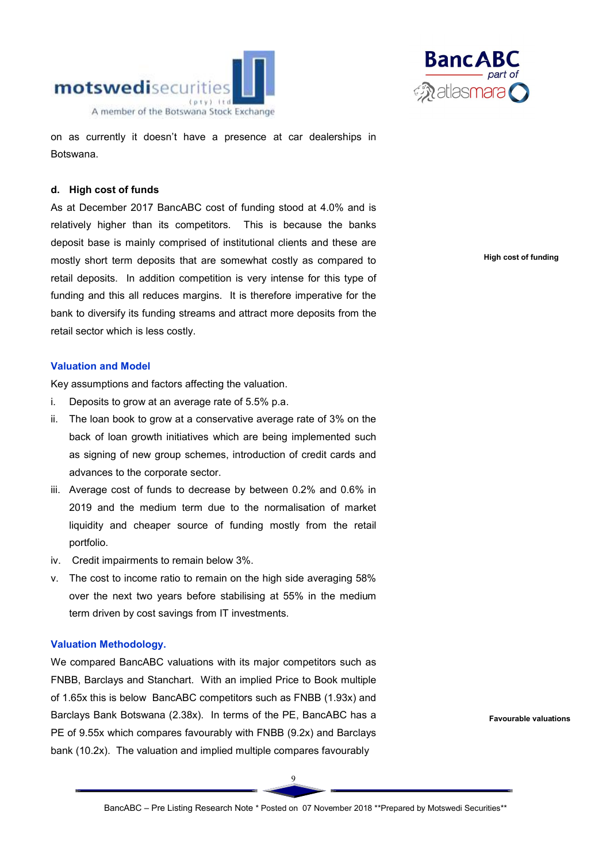



on as currently it doesn't have a presence at car dealerships in Botswana.

#### d. High cost of funds

As at December 2017 BancABC cost of funding stood at 4.0% and is relatively higher than its competitors. This is because the banks deposit base is mainly comprised of institutional clients and these are mostly short term deposits that are somewhat costly as compared to retail deposits. In addition competition is very intense for this type of funding and this all reduces margins. It is therefore imperative for the bank to diversify its funding streams and attract more deposits from the retail sector which is less costly.

#### Valuation and Model

Key assumptions and factors affecting the valuation.

- i. Deposits to grow at an average rate of 5.5% p.a.
- ii. The loan book to grow at a conservative average rate of 3% on the back of loan growth initiatives which are being implemented such as signing of new group schemes, introduction of credit cards and advances to the corporate sector.
- iii. Average cost of funds to decrease by between 0.2% and 0.6% in 2019 and the medium term due to the normalisation of market liquidity and cheaper source of funding mostly from the retail portfolio.
- iv. Credit impairments to remain below 3%.
- v. The cost to income ratio to remain on the high side averaging 58% over the next two years before stabilising at 55% in the medium term driven by cost savings from IT investments.

## Valuation Methodology.

We compared BancABC valuations with its major competitors such as FNBB, Barclays and Stanchart. With an implied Price to Book multiple of 1.65x this is below BancABC competitors such as FNBB (1.93x) and Barclays Bank Botswana (2.38x). In terms of the PE, BancABC has a PE of 9.55x which compares favourably with FNBB (9.2x) and Barclays bank (10.2x). The valuation and implied multiple compares favourably

High cost of funding

Favourable valuations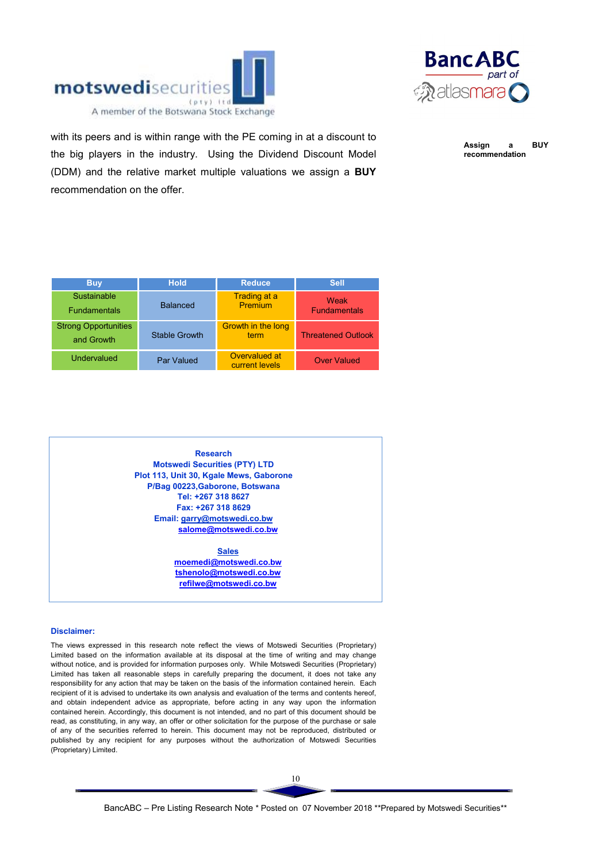



with its peers and is within range with the PE coming in at a discount to the big players in the industry. Using the Dividend Discount Model (DDM) and the relative market multiple valuations we assign a BUY recommendation on the offer.

Assign a BUY recommendation

| <b>Buy</b>                                | <b>Hold</b>          | <b>Reduce</b>                   | <b>Sell</b>                 |
|-------------------------------------------|----------------------|---------------------------------|-----------------------------|
| Sustainable<br><b>Fundamentals</b>        | <b>Balanced</b>      | Trading at a<br>Premium         | Weak<br><b>Fundamentals</b> |
| <b>Strong Opportunities</b><br>and Growth | <b>Stable Growth</b> | Growth in the long<br>term      | <b>Threatened Outlook</b>   |
| Undervalued                               | Par Valued           | Overvalued at<br>current levels | <b>Over Valued</b>          |

Research Motswedi Securities (PTY) LTD Plot 113, Unit 30, Kgale Mews, Gaborone P/Bag 00223,Gaborone, Botswana Tel: +267 318 8627 Fax: +267 318 8629 Email: garry@motswedi.co.bw salome@motswedi.co.bw

> **Sales** moemedi@motswedi.co.bw tshenolo@motswedi.co.bw refilwe@motswedi.co.bw

#### Disclaimer:

The views expressed in this research note reflect the views of Motswedi Securities (Proprietary) Limited based on the information available at its disposal at the time of writing and may change without notice, and is provided for information purposes only. While Motswedi Securities (Proprietary) Limited has taken all reasonable steps in carefully preparing the document, it does not take any responsibility for any action that may be taken on the basis of the information contained herein. Each recipient of it is advised to undertake its own analysis and evaluation of the terms and contents hereof, and obtain independent advice as appropriate, before acting in any way upon the information contained herein. Accordingly, this document is not intended, and no part of this document should be read, as constituting, in any way, an offer or other solicitation for the purpose of the purchase or sale of any of the securities referred to herein. This document may not be reproduced, distributed or published by any recipient for any purposes without the authorization of Motswedi Securities (Proprietary) Limited.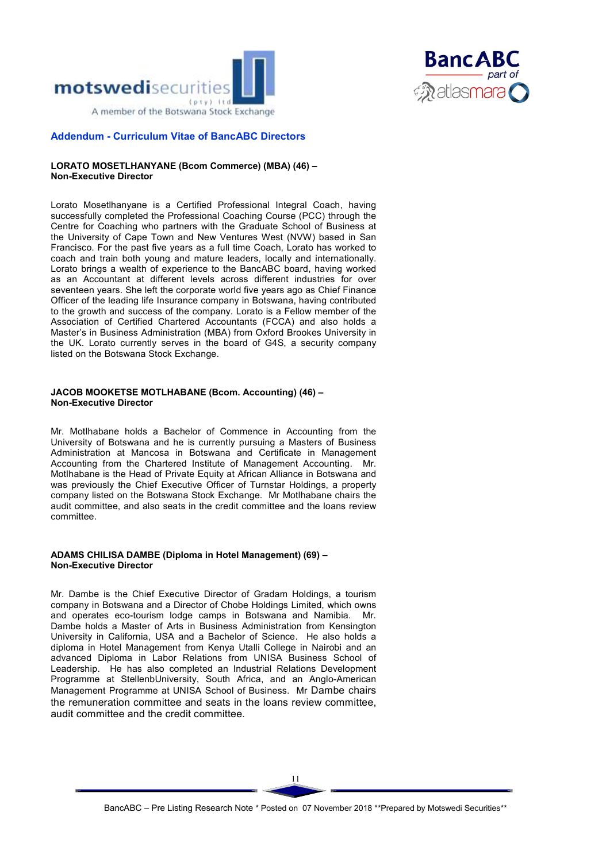



#### Addendum - Curriculum Vitae of BancABC Directors

#### LORATO MOSETLHANYANE (Bcom Commerce) (MBA) (46) – Non-Executive Director

Lorato Mosetlhanyane is a Certified Professional Integral Coach, having successfully completed the Professional Coaching Course (PCC) through the Centre for Coaching who partners with the Graduate School of Business at the University of Cape Town and New Ventures West (NVW) based in San Francisco. For the past five years as a full time Coach, Lorato has worked to coach and train both young and mature leaders, locally and internationally. Lorato brings a wealth of experience to the BancABC board, having worked as an Accountant at different levels across different industries for over seventeen years. She left the corporate world five years ago as Chief Finance Officer of the leading life Insurance company in Botswana, having contributed to the growth and success of the company. Lorato is a Fellow member of the Association of Certified Chartered Accountants (FCCA) and also holds a Master's in Business Administration (MBA) from Oxford Brookes University in the UK. Lorato currently serves in the board of G4S, a security company listed on the Botswana Stock Exchange.

#### JACOB MOOKETSE MOTLHABANE (Bcom. Accounting) (46) – Non-Executive Director

Mr. Motlhabane holds a Bachelor of Commence in Accounting from the University of Botswana and he is currently pursuing a Masters of Business Administration at Mancosa in Botswana and Certificate in Management Accounting from the Chartered Institute of Management Accounting. Mr. Motlhabane is the Head of Private Equity at African Alliance in Botswana and was previously the Chief Executive Officer of Turnstar Holdings, a property company listed on the Botswana Stock Exchange. Mr Motlhabane chairs the audit committee, and also seats in the credit committee and the loans review committee.

#### ADAMS CHILISA DAMBE (Diploma in Hotel Management) (69) – Non-Executive Director

Mr. Dambe is the Chief Executive Director of Gradam Holdings, a tourism company in Botswana and a Director of Chobe Holdings Limited, which owns and operates eco-tourism lodge camps in Botswana and Namibia. Mr. Dambe holds a Master of Arts in Business Administration from Kensington University in California, USA and a Bachelor of Science. He also holds a diploma in Hotel Management from Kenya Utalli College in Nairobi and an advanced Diploma in Labor Relations from UNISA Business School of Leadership. He has also completed an Industrial Relations Development Programme at StellenbUniversity, South Africa, and an Anglo-American Management Programme at UNISA School of Business. Mr Dambe chairs the remuneration committee and seats in the loans review committee, audit committee and the credit committee.